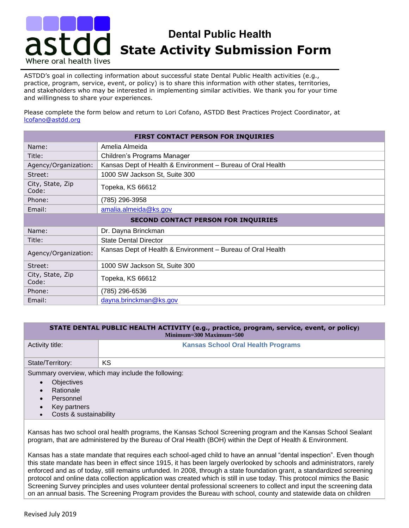## **Dental Public Health State Activity Submission Form** Where oral health lives

ASTDD's goal in collecting information about successful state Dental Public Health activities (e.g., practice, program, service, event, or policy) is to share this information with other states, territories, and stakeholders who may be interested in implementing similar activities. We thank you for your time and willingness to share your experiences.

Please complete the form below and return to Lori Cofano, ASTDD Best Practices Project Coordinator, at [lcofano@astdd.org](mailto:lcofano@astdd.org)

| FIRST CONTACT PERSON FOR INQUIRIES         |                                                             |  |
|--------------------------------------------|-------------------------------------------------------------|--|
| Name:                                      | Amelia Almeida                                              |  |
| Title:                                     | Children's Programs Manager                                 |  |
| Agency/Organization:                       | Kansas Dept of Health & Environment - Bureau of Oral Health |  |
| Street:                                    | 1000 SW Jackson St, Suite 300                               |  |
| City, State, Zip<br>Code:                  | Topeka, KS 66612                                            |  |
| Phone:                                     | (785) 296-3958                                              |  |
| Email:                                     | amalia.almeida@ks.gov                                       |  |
| <b>SECOND CONTACT PERSON FOR INQUIRIES</b> |                                                             |  |
| Name:                                      | Dr. Dayna Brinckman                                         |  |
| Title:                                     | <b>State Dental Director</b>                                |  |
| Agency/Organization:                       | Kansas Dept of Health & Environment - Bureau of Oral Health |  |
| Street:                                    | 1000 SW Jackson St, Suite 300                               |  |
| City, State, Zip<br>Code:                  | Topeka, KS 66612                                            |  |
| Phone:                                     | (785) 296-6536                                              |  |
| Email:                                     | dayna.brinckman@ks.gov                                      |  |

## **STATE DENTAL PUBLIC HEALTH ACTIVITY (e.g., practice, program, service, event, or policy) Minimum=300 Maximum=500**

| Activity title:  | <b>Kansas School Oral Health Programs</b>          |
|------------------|----------------------------------------------------|
| State/Territory: | КS                                                 |
| ____             | Summary overview, which may include the following: |

- **Objectives**
- **Rationale**
- **Personnel**
- Key partners
- Costs & sustainability

Kansas has two school oral health programs, the Kansas School Screening program and the Kansas School Sealant program, that are administered by the Bureau of Oral Health (BOH) within the Dept of Health & Environment.

Kansas has a state mandate that requires each school-aged child to have an annual "dental inspection". Even though this state mandate has been in effect since 1915, it has been largely overlooked by schools and administrators, rarely enforced and as of today, still remains unfunded. In 2008, through a state foundation grant, a standardized screening protocol and online data collection application was created which is still in use today. This protocol mimics the Basic Screening Survey principles and uses volunteer dental professional screeners to collect and input the screening data on an annual basis. The Screening Program provides the Bureau with school, county and statewide data on children